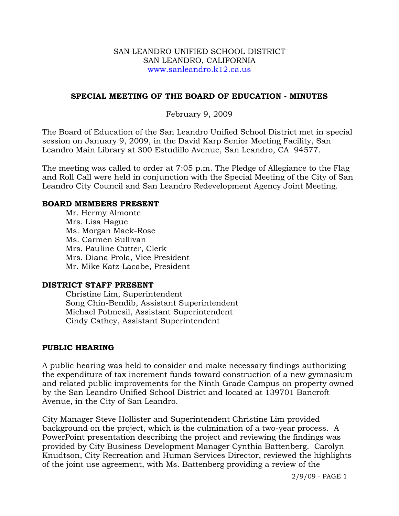#### SAN LEANDRO UNIFIED SCHOOL DISTRICT SAN LEANDRO, CALIFORNIA www.sanleandro.k12.ca.us

#### **SPECIAL MEETING OF THE BOARD OF EDUCATION - MINUTES**

#### February 9, 2009

The Board of Education of the San Leandro Unified School District met in special session on January 9, 2009, in the David Karp Senior Meeting Facility, San Leandro Main Library at 300 Estudillo Avenue, San Leandro, CA 94577.

The meeting was called to order at 7:05 p.m. The Pledge of Allegiance to the Flag and Roll Call were held in conjunction with the Special Meeting of the City of San Leandro City Council and San Leandro Redevelopment Agency Joint Meeting.

#### **BOARD MEMBERS PRESENT**

Mr. Hermy Almonte Mrs. Lisa Hague Ms. Morgan Mack-Rose Ms. Carmen Sullivan Mrs. Pauline Cutter, Clerk Mrs. Diana Prola, Vice President Mr. Mike Katz-Lacabe, President

#### **DISTRICT STAFF PRESENT**

Christine Lim, Superintendent Song Chin-Bendib, Assistant Superintendent Michael Potmesil, Assistant Superintendent Cindy Cathey, Assistant Superintendent

#### **PUBLIC HEARING**

A public hearing was held to consider and make necessary findings authorizing the expenditure of tax increment funds toward construction of a new gymnasium and related public improvements for the Ninth Grade Campus on property owned by the San Leandro Unified School District and located at 139701 Bancroft Avenue, in the City of San Leandro.

City Manager Steve Hollister and Superintendent Christine Lim provided background on the project, which is the culmination of a two-year process. A PowerPoint presentation describing the project and reviewing the findings was provided by City Business Development Manager Cynthia Battenberg. Carolyn Knudtson, City Recreation and Human Services Director, reviewed the highlights of the joint use agreement, with Ms. Battenberg providing a review of the

2/9/09 - PAGE 1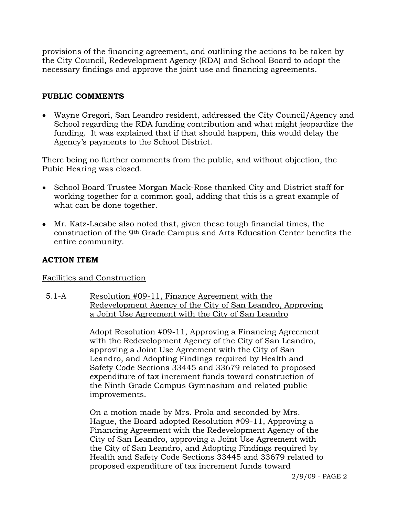provisions of the financing agreement, and outlining the actions to be taken by the City Council, Redevelopment Agency (RDA) and School Board to adopt the necessary findings and approve the joint use and financing agreements.

## **PUBLIC COMMENTS**

• Wayne Gregori, San Leandro resident, addressed the City Council/Agency and School regarding the RDA funding contribution and what might jeopardize the funding. It was explained that if that should happen, this would delay the Agency's payments to the School District.

There being no further comments from the public, and without objection, the Pubic Hearing was closed.

- School Board Trustee Morgan Mack-Rose thanked City and District staff for working together for a common goal, adding that this is a great example of what can be done together.
- Mr. Katz-Lacabe also noted that, given these tough financial times, the construction of the 9th Grade Campus and Arts Education Center benefits the entire community.

# **ACTION ITEM**

## Facilities and Construction

5.1-A Resolution #09-11, Finance Agreement with the Redevelopment Agency of the City of San Leandro, Approving a Joint Use Agreement with the City of San Leandro

> Adopt Resolution #09-11, Approving a Financing Agreement with the Redevelopment Agency of the City of San Leandro, approving a Joint Use Agreement with the City of San Leandro, and Adopting Findings required by Health and Safety Code Sections 33445 and 33679 related to proposed expenditure of tax increment funds toward construction of the Ninth Grade Campus Gymnasium and related public improvements.

On a motion made by Mrs. Prola and seconded by Mrs. Hague, the Board adopted Resolution #09-11, Approving a Financing Agreement with the Redevelopment Agency of the City of San Leandro, approving a Joint Use Agreement with the City of San Leandro, and Adopting Findings required by Health and Safety Code Sections 33445 and 33679 related to proposed expenditure of tax increment funds toward

2/9/09 - PAGE 2